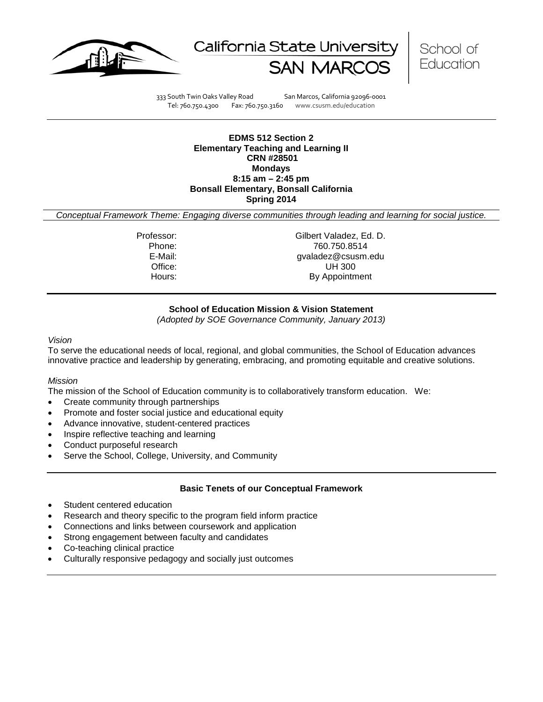





333 South Twin Oaks Valley Road San Marcos, California 92096-0001 Tel: 760.750.4300 Fax: 760.750.3160 www.csusm.edu/education

**EDMS 512 Section 2 Elementary Teaching and Learning II CRN #28501 Mondays 8:15 am – 2:45 pm Bonsall Elementary, Bonsall California Spring 2014** 

*Conceptual Framework Theme: Engaging diverse communities through leading and learning for social justice.*

Professor: Gilbert Valadez, Ed. D. Phone: 760.750.8514<br>E-Mail: 700.750.8514<br>Gyaladez@csusm. gvaladez@csusm.edu Office: UH 300 Hours: By Appointment

## **School of Education Mission & Vision Statement**

*(Adopted by SOE Governance Community, January 2013)*

#### *Vision*

To serve the educational needs of local, regional, and global communities, the School of Education advances innovative practice and leadership by generating, embracing, and promoting equitable and creative solutions.

## *Mission*

The mission of the School of Education community is to collaboratively transform education. We:

- Create community through partnerships
- Promote and foster social justice and educational equity
- Advance innovative, student-centered practices
- Inspire reflective teaching and learning
- Conduct purposeful research
- Serve the School, College, University, and Community

## **Basic Tenets of our Conceptual Framework**

- Student centered education
- Research and theory specific to the program field inform practice
- Connections and links between coursework and application
- Strong engagement between faculty and candidates
- Co-teaching clinical practice
- Culturally responsive pedagogy and socially just outcomes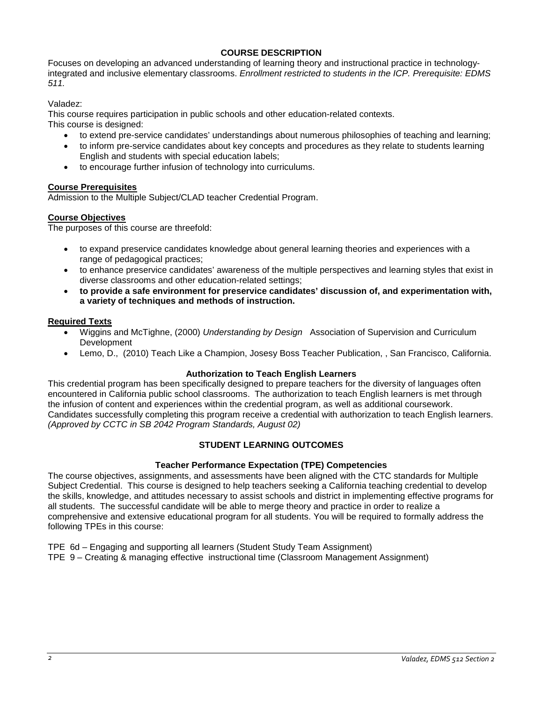# **COURSE DESCRIPTION**

Focuses on developing an advanced understanding of learning theory and instructional practice in technologyintegrated and inclusive elementary classrooms. *Enrollment restricted to students in the ICP. Prerequisite: EDMS 511.*

Valadez:

This course requires participation in public schools and other education-related contexts.

This course is designed:

- to extend pre-service candidates' understandings about numerous philosophies of teaching and learning;
- to inform pre-service candidates about key concepts and procedures as they relate to students learning English and students with special education labels;
- to encourage further infusion of technology into curriculums.

# **Course Prerequisites**

Admission to the Multiple Subject/CLAD teacher Credential Program.

## **Course Objectives**

The purposes of this course are threefold:

- to expand preservice candidates knowledge about general learning theories and experiences with a range of pedagogical practices;
- to enhance preservice candidates' awareness of the multiple perspectives and learning styles that exist in diverse classrooms and other education-related settings;
- **to provide a safe environment for preservice candidates' discussion of, and experimentation with, a variety of techniques and methods of instruction.**

## **Required Texts**

- Wiggins and McTighne, (2000) *Understanding by Design* Association of Supervision and Curriculum Development
- Lemo, D., (2010) Teach Like a Champion, Josesy Boss Teacher Publication, , San Francisco, California.

## **Authorization to Teach English Learners**

This credential program has been specifically designed to prepare teachers for the diversity of languages often encountered in California public school classrooms. The authorization to teach English learners is met through the infusion of content and experiences within the credential program, as well as additional coursework. Candidates successfully completing this program receive a credential with authorization to teach English learners. *(Approved by CCTC in SB 2042 Program Standards, August 02)*

# **STUDENT LEARNING OUTCOMES**

## **Teacher Performance Expectation (TPE) Competencies**

The course objectives, assignments, and assessments have been aligned with the CTC standards for Multiple Subject Credential. This course is designed to help teachers seeking a California teaching credential to develop the skills, knowledge, and attitudes necessary to assist schools and district in implementing effective programs for all students. The successful candidate will be able to merge theory and practice in order to realize a comprehensive and extensive educational program for all students. You will be required to formally address the following TPEs in this course:

TPE 6d – Engaging and supporting all learners (Student Study Team Assignment)

TPE 9 – Creating & managing effective instructional time (Classroom Management Assignment)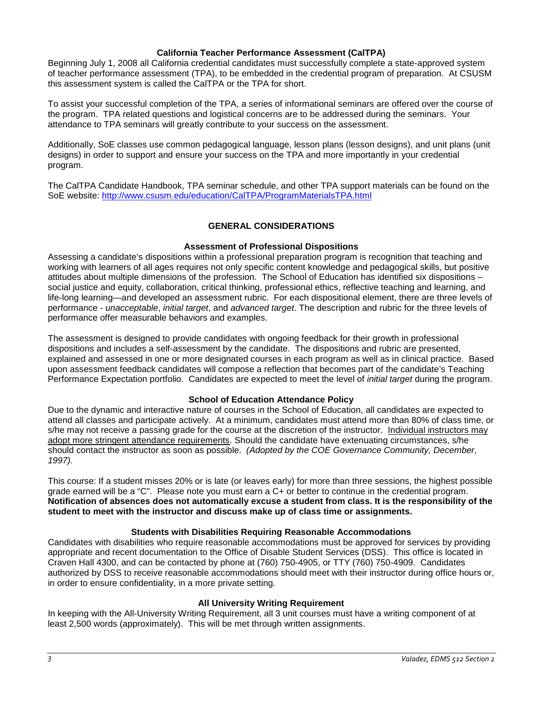## **California Teacher Performance Assessment (CalTPA)**

Beginning July 1, 2008 all California credential candidates must successfully complete a state-approved system of teacher performance assessment (TPA), to be embedded in the credential program of preparation. At CSUSM this assessment system is called the CalTPA or the TPA for short.

To assist your successful completion of the TPA, a series of informational seminars are offered over the course of the program. TPA related questions and logistical concerns are to be addressed during the seminars. Your attendance to TPA seminars will greatly contribute to your success on the assessment.

Additionally, SoE classes use common pedagogical language, lesson plans (lesson designs), and unit plans (unit designs) in order to support and ensure your success on the TPA and more importantly in your credential program.

The CalTPA Candidate Handbook, TPA seminar schedule, and other TPA support materials can be found on the SoE website: <http://www.csusm.edu/education/CalTPA/ProgramMaterialsTPA.html>

## **GENERAL CONSIDERATIONS**

## **Assessment of Professional Dispositions**

Assessing a candidate's dispositions within a professional preparation program is recognition that teaching and working with learners of all ages requires not only specific content knowledge and pedagogical skills, but positive attitudes about multiple dimensions of the profession. The School of Education has identified six dispositions – social justice and equity, collaboration, critical thinking, professional ethics, reflective teaching and learning, and life-long learning—and developed an assessment rubric. For each dispositional element, there are three levels of performance - *unacceptable*, *initial target*, and *advanced target*. The description and rubric for the three levels of performance offer measurable behaviors and examples.

The assessment is designed to provide candidates with ongoing feedback for their growth in professional dispositions and includes a self-assessment by the candidate. The dispositions and rubric are presented, explained and assessed in one or more designated courses in each program as well as in clinical practice. Based upon assessment feedback candidates will compose a reflection that becomes part of the candidate's Teaching Performance Expectation portfolio. Candidates are expected to meet the level of *initial target* during the program.

## **School of Education Attendance Policy**

Due to the dynamic and interactive nature of courses in the School of Education, all candidates are expected to attend all classes and participate actively. At a minimum, candidates must attend more than 80% of class time, or s/he may not receive a passing grade for the course at the discretion of the instructor. Individual instructors may adopt more stringent attendance requirements. Should the candidate have extenuating circumstances, s/he should contact the instructor as soon as possible. *(Adopted by the COE Governance Community, December, 1997).*

This course: If a student misses 20% or is late (or leaves early) for more than three sessions, the highest possible grade earned will be a "C". Please note you must earn a C+ or better to continue in the credential program. **Notification of absences does not automatically excuse a student from class. It is the responsibility of the student to meet with the instructor and discuss make up of class time or assignments.**

## **Students with Disabilities Requiring Reasonable Accommodations**

Candidates with disabilities who require reasonable accommodations must be approved for services by providing appropriate and recent documentation to the Office of Disable Student Services (DSS). This office is located in Craven Hall 4300, and can be contacted by phone at (760) 750-4905, or TTY (760) 750-4909. Candidates authorized by DSS to receive reasonable accommodations should meet with their instructor during office hours or, in order to ensure confidentiality, in a more private setting.

## **All University Writing Requirement**

In keeping with the All-University Writing Requirement, all 3 unit courses must have a writing component of at least 2,500 words (approximately). This will be met through written assignments.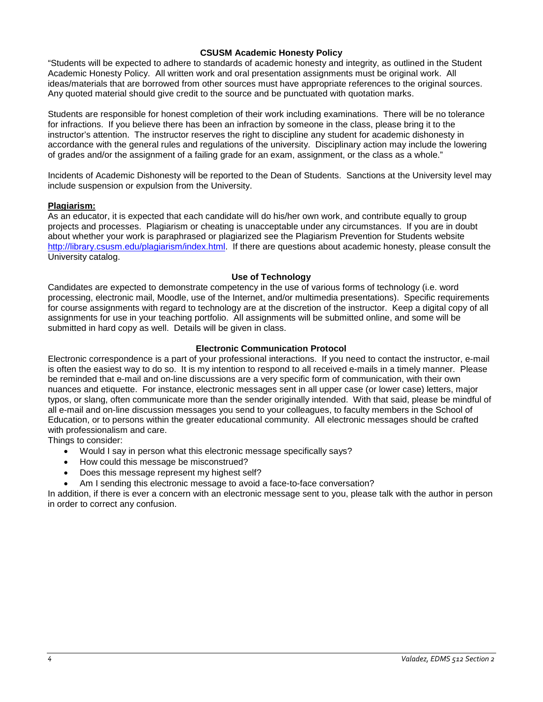## **CSUSM Academic Honesty Policy**

"Students will be expected to adhere to standards of academic honesty and integrity, as outlined in the Student Academic Honesty Policy. All written work and oral presentation assignments must be original work. All ideas/materials that are borrowed from other sources must have appropriate references to the original sources. Any quoted material should give credit to the source and be punctuated with quotation marks.

Students are responsible for honest completion of their work including examinations. There will be no tolerance for infractions. If you believe there has been an infraction by someone in the class, please bring it to the instructor's attention. The instructor reserves the right to discipline any student for academic dishonesty in accordance with the general rules and regulations of the university. Disciplinary action may include the lowering of grades and/or the assignment of a failing grade for an exam, assignment, or the class as a whole."

Incidents of Academic Dishonesty will be reported to the Dean of Students. Sanctions at the University level may include suspension or expulsion from the University.

## **Plagiarism:**

As an educator, it is expected that each candidate will do his/her own work, and contribute equally to group projects and processes. Plagiarism or cheating is unacceptable under any circumstances. If you are in doubt about whether your work is paraphrased or plagiarized see the Plagiarism Prevention for Students website [http://library.csusm.edu/plagiarism/index.html.](http://library.csusm.edu/plagiarism/index.html) If there are questions about academic honesty, please consult the University catalog.

## **Use of Technology**

Candidates are expected to demonstrate competency in the use of various forms of technology (i.e. word processing, electronic mail, Moodle, use of the Internet, and/or multimedia presentations). Specific requirements for course assignments with regard to technology are at the discretion of the instructor. Keep a digital copy of all assignments for use in your teaching portfolio. All assignments will be submitted online, and some will be submitted in hard copy as well. Details will be given in class.

## **Electronic Communication Protocol**

Electronic correspondence is a part of your professional interactions. If you need to contact the instructor, e-mail is often the easiest way to do so. It is my intention to respond to all received e-mails in a timely manner. Please be reminded that e-mail and on-line discussions are a very specific form of communication, with their own nuances and etiquette. For instance, electronic messages sent in all upper case (or lower case) letters, major typos, or slang, often communicate more than the sender originally intended. With that said, please be mindful of all e-mail and on-line discussion messages you send to your colleagues, to faculty members in the School of Education, or to persons within the greater educational community. All electronic messages should be crafted with professionalism and care.

Things to consider:

- Would I say in person what this electronic message specifically says?
- How could this message be misconstrued?
- Does this message represent my highest self?
- Am I sending this electronic message to avoid a face-to-face conversation?

In addition, if there is ever a concern with an electronic message sent to you, please talk with the author in person in order to correct any confusion.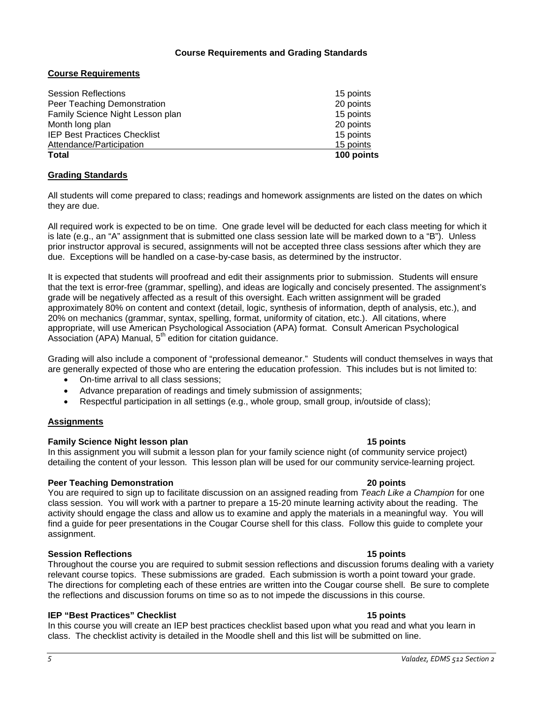## **Course Requirements and Grading Standards**

# **Course Requirements**

| <b>Total</b>                        | 100 points |
|-------------------------------------|------------|
| Attendance/Participation            | 15 points  |
| <b>IEP Best Practices Checklist</b> | 15 points  |
| Month long plan                     | 20 points  |
| Family Science Night Lesson plan    | 15 points  |
| Peer Teaching Demonstration         | 20 points  |
| <b>Session Reflections</b>          | 15 points  |

## **Grading Standards**

All students will come prepared to class; readings and homework assignments are listed on the dates on which they are due.

All required work is expected to be on time. One grade level will be deducted for each class meeting for which it is late (e.g., an "A" assignment that is submitted one class session late will be marked down to a "B"). Unless prior instructor approval is secured, assignments will not be accepted three class sessions after which they are due. Exceptions will be handled on a case-by-case basis, as determined by the instructor.

It is expected that students will proofread and edit their assignments prior to submission. Students will ensure that the text is error-free (grammar, spelling), and ideas are logically and concisely presented. The assignment's grade will be negatively affected as a result of this oversight. Each written assignment will be graded approximately 80% on content and context (detail, logic, synthesis of information, depth of analysis, etc.), and 20% on mechanics (grammar, syntax, spelling, format, uniformity of citation, etc.). All citations, where appropriate, will use American Psychological Association (APA) format. Consult American Psychological Association (APA) Manual,  $5<sup>th</sup>$  edition for citation guidance.

Grading will also include a component of "professional demeanor." Students will conduct themselves in ways that are generally expected of those who are entering the education profession. This includes but is not limited to:

- On-time arrival to all class sessions;
- Advance preparation of readings and timely submission of assignments;
- Respectful participation in all settings (e.g., whole group, small group, in/outside of class);

# **Assignments**

## **Family Science Night lesson plan 15 points**

In this assignment you will submit a lesson plan for your family science night (of community service project) detailing the content of your lesson. This lesson plan will be used for our community service-learning project.

## **Peer Teaching Demonstration 20 points**

You are required to sign up to facilitate discussion on an assigned reading from *Teach Like a Champion* for one class session. You will work with a partner to prepare a 15-20 minute learning activity about the reading. The activity should engage the class and allow us to examine and apply the materials in a meaningful way. You will find a guide for peer presentations in the Cougar Course shell for this class. Follow this guide to complete your assignment.

# **Session Reflections 15 points**

Throughout the course you are required to submit session reflections and discussion forums dealing with a variety relevant course topics. These submissions are graded. Each submission is worth a point toward your grade. The directions for completing each of these entries are written into the Cougar course shell. Be sure to complete the reflections and discussion forums on time so as to not impede the discussions in this course.

# **IEP "Best Practices" Checklist 15 points**

In this course you will create an IEP best practices checklist based upon what you read and what you learn in class. The checklist activity is detailed in the Moodle shell and this list will be submitted on line.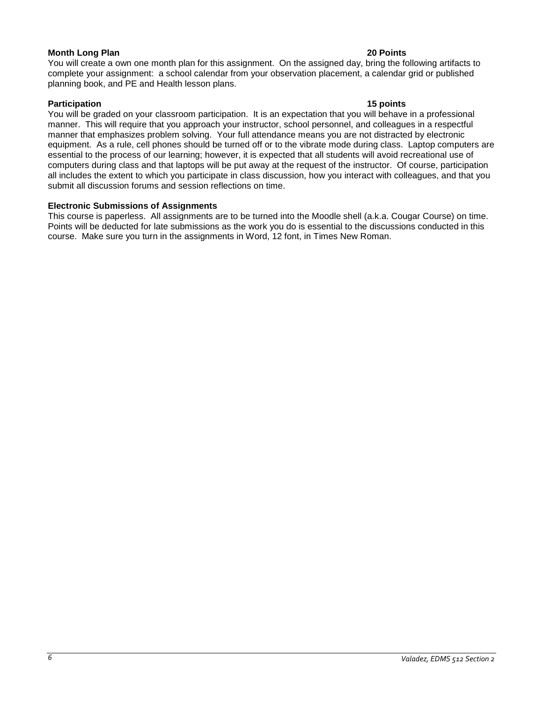## **Month Long Plan 20 Points**

You will create a own one month plan for this assignment. On the assigned day, bring the following artifacts to complete your assignment: a school calendar from your observation placement, a calendar grid or published planning book, and PE and Health lesson plans.

## **Participation 15 points**

You will be graded on your classroom participation. It is an expectation that you will behave in a professional manner. This will require that you approach your instructor, school personnel, and colleagues in a respectful manner that emphasizes problem solving. Your full attendance means you are not distracted by electronic equipment. As a rule, cell phones should be turned off or to the vibrate mode during class. Laptop computers are essential to the process of our learning; however, it is expected that all students will avoid recreational use of computers during class and that laptops will be put away at the request of the instructor. Of course, participation all includes the extent to which you participate in class discussion, how you interact with colleagues, and that you submit all discussion forums and session reflections on time.

## **Electronic Submissions of Assignments**

This course is paperless. All assignments are to be turned into the Moodle shell (a.k.a. Cougar Course) on time. Points will be deducted for late submissions as the work you do is essential to the discussions conducted in this course. Make sure you turn in the assignments in Word, 12 font, in Times New Roman.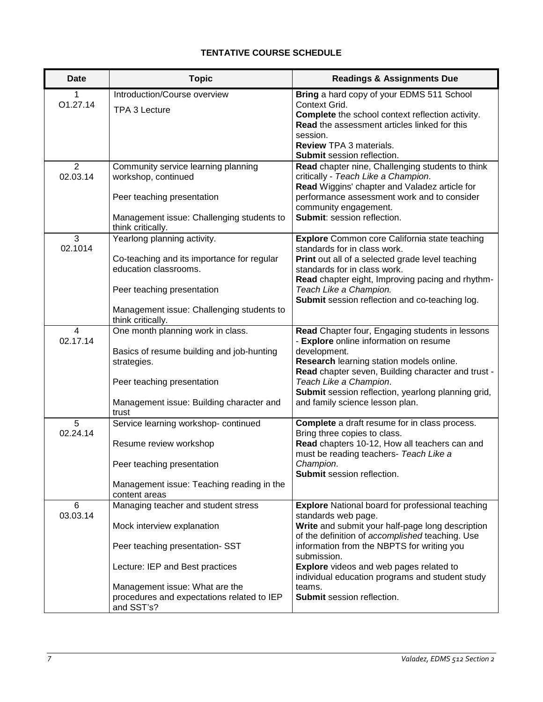# **TENTATIVE COURSE SCHEDULE**

| <b>Date</b>                | <b>Topic</b>                                                                                                                                                                                                                         | <b>Readings &amp; Assignments Due</b>                                                                                                                                                                                                                                                                                                                                                           |
|----------------------------|--------------------------------------------------------------------------------------------------------------------------------------------------------------------------------------------------------------------------------------|-------------------------------------------------------------------------------------------------------------------------------------------------------------------------------------------------------------------------------------------------------------------------------------------------------------------------------------------------------------------------------------------------|
| 1<br>O1.27.14              | Introduction/Course overview<br>TPA 3 Lecture                                                                                                                                                                                        | Bring a hard copy of your EDMS 511 School<br>Context Grid.<br>Complete the school context reflection activity.<br>Read the assessment articles linked for this<br>session.<br>Review TPA 3 materials.<br><b>Submit session reflection.</b>                                                                                                                                                      |
| 2<br>02.03.14              | Community service learning planning<br>workshop, continued<br>Peer teaching presentation<br>Management issue: Challenging students to<br>think critically.                                                                           | Read chapter nine, Challenging students to think<br>critically - Teach Like a Champion.<br>Read Wiggins' chapter and Valadez article for<br>performance assessment work and to consider<br>community engagement.<br>Submit: session reflection.                                                                                                                                                 |
| 3<br>02.1014               | Yearlong planning activity.<br>Co-teaching and its importance for regular<br>education classrooms.<br>Peer teaching presentation<br>Management issue: Challenging students to<br>think critically.                                   | <b>Explore</b> Common core California state teaching<br>standards for in class work.<br>Print out all of a selected grade level teaching<br>standards for in class work.<br>Read chapter eight, Improving pacing and rhythm-<br>Teach Like a Champion.<br>Submit session reflection and co-teaching log.                                                                                        |
| $\overline{4}$<br>02.17.14 | One month planning work in class.<br>Basics of resume building and job-hunting<br>strategies.<br>Peer teaching presentation<br>Management issue: Building character and<br>trust                                                     | Read Chapter four, Engaging students in lessons<br>- Explore online information on resume<br>development.<br>Research learning station models online.<br>Read chapter seven, Building character and trust -<br>Teach Like a Champion.<br>Submit session reflection, yearlong planning grid,<br>and family science lesson plan.                                                                  |
| 5<br>02.24.14              | Service learning workshop- continued<br>Resume review workshop<br>Peer teaching presentation<br>Management issue: Teaching reading in the<br>content areas                                                                           | Complete a draft resume for in class process.<br>Bring three copies to class.<br>Read chapters 10-12, How all teachers can and<br>must be reading teachers- Teach Like a<br>Champion.<br>Submit session reflection.                                                                                                                                                                             |
| 6<br>03.03.14              | Managing teacher and student stress<br>Mock interview explanation<br>Peer teaching presentation-SST<br>Lecture: IEP and Best practices<br>Management issue: What are the<br>procedures and expectations related to IEP<br>and SST's? | <b>Explore</b> National board for professional teaching<br>standards web page.<br>Write and submit your half-page long description<br>of the definition of accomplished teaching. Use<br>information from the NBPTS for writing you<br>submission.<br><b>Explore</b> videos and web pages related to<br>individual education programs and student study<br>teams.<br>Submit session reflection. |